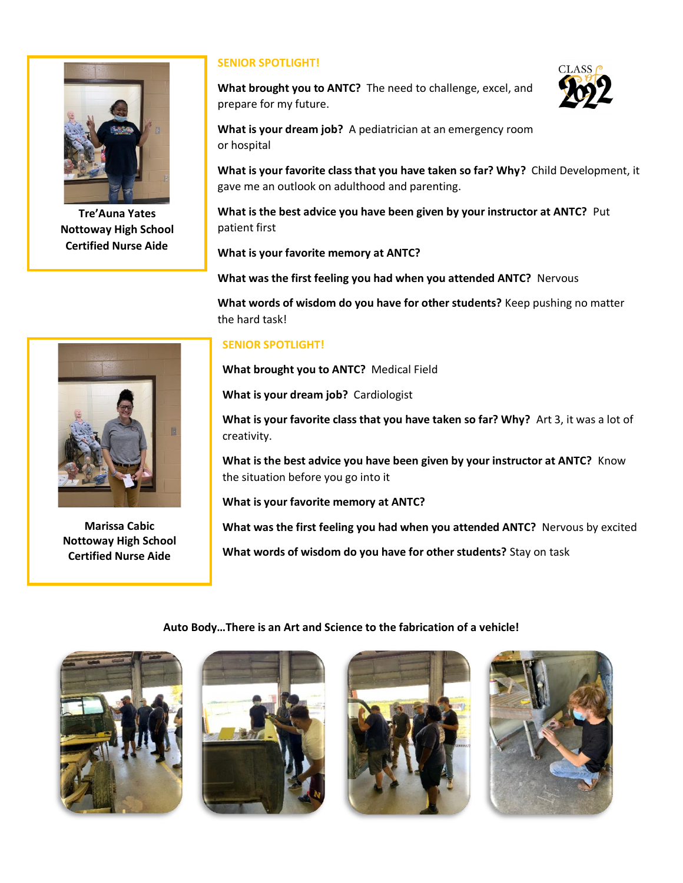

**Tre'Auna Yates Nottoway High School Certified Nurse Aide**

## **SENIOR SPOTLIGHT!**

**What brought you to ANTC?** The need to challenge, excel, and prepare for my future.



**What is your dream job?** A pediatrician at an emergency room or hospital

**What is your favorite class that you have taken so far? Why?** Child Development, it gave me an outlook on adulthood and parenting.

**What is the best advice you have been given by your instructor at ANTC?** Put patient first

**What is your favorite memory at ANTC?** 

**What was the first feeling you had when you attended ANTC?** Nervous

**What words of wisdom do you have for other students?** Keep pushing no matter the hard task!

## **SENIOR SPOTLIGHT!**

**What brought you to ANTC?** Medical Field

**What is your dream job?** Cardiologist

**What is your favorite class that you have taken so far? Why?** Art 3, it was a lot of creativity.

**What is the best advice you have been given by your instructor at ANTC?** Know the situation before you go into it

**What is your favorite memory at ANTC?** 

**What was the first feeling you had when you attended ANTC?** Nervous by excited

**What words of wisdom do you have for other students?** Stay on task

## **Auto Body…There is an Art and Science to the fabrication of a vehicle!**











**Marissa Cabic Nottoway High School Certified Nurse Aide**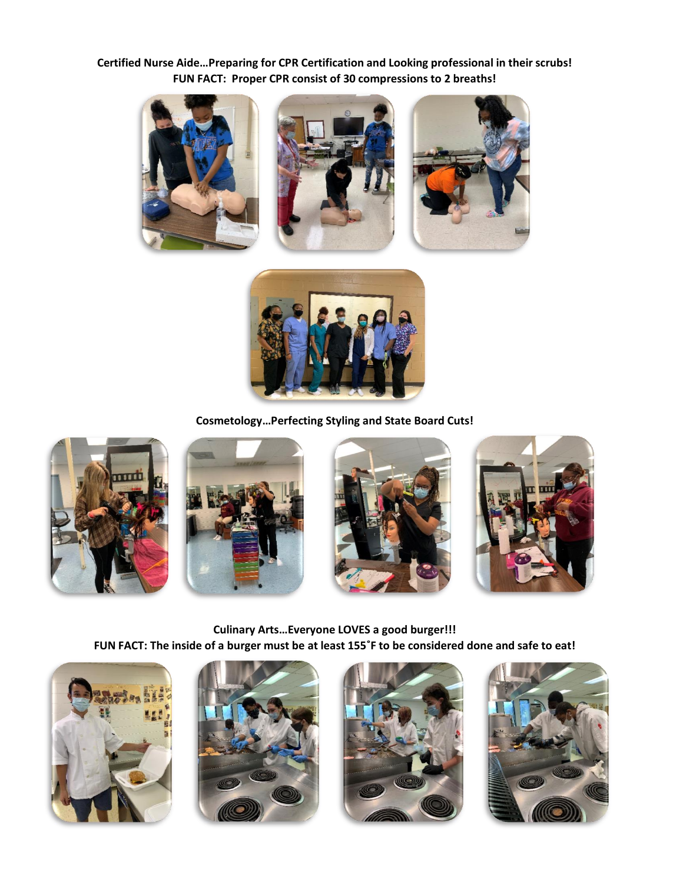**Certified Nurse Aide…Preparing for CPR Certification and Looking professional in their scrubs! FUN FACT: Proper CPR consist of 30 compressions to 2 breaths!**









**Cosmetology…Perfecting Styling and State Board Cuts!**









**Culinary Arts…Everyone LOVES a good burger!!! FUN FACT: The inside of a burger must be at least 155˚F to be considered done and safe to eat!**